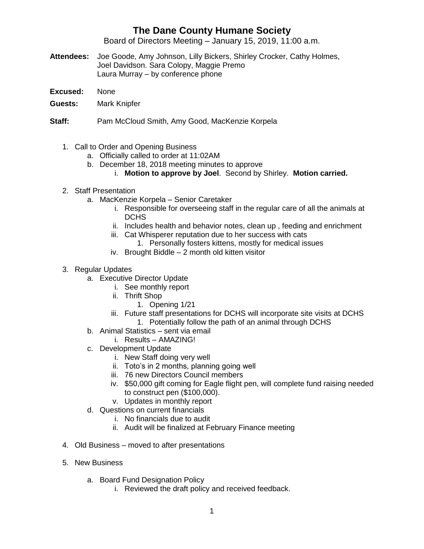## **The Dane County Humane Society**

Board of Directors Meeting – January 15, 2019, 11:00 a.m.

- **Attendees:** Joe Goode, Amy Johnson, Lilly Bickers, Shirley Crocker, Cathy Holmes, Joel Davidson. Sara Colopy, Maggie Premo Laura Murray – by conference phone
- **Excused:** None
- **Guests:** Mark Knipfer
- **Staff:** Pam McCloud Smith, Amy Good, MacKenzie Korpela
	- 1. Call to Order and Opening Business
		- a. Officially called to order at 11:02AM
		- b. December 18, 2018 meeting minutes to approve
			- i. **Motion to approve by Joel**. Second by Shirley. **Motion carried.**
	- 2. Staff Presentation
		- a. MacKenzie Korpela Senior Caretaker
			- i. Responsible for overseeing staff in the regular care of all the animals at **DCHS**
			- ii. Includes health and behavior notes, clean up , feeding and enrichment
			- iii. Cat Whisperer reputation due to her success with cats
				- 1. Personally fosters kittens, mostly for medical issues
			- iv. Brought Biddle 2 month old kitten visitor
	- 3. Regular Updates
		- a. Executive Director Update
			- i. See monthly report
			- ii. Thrift Shop
				- 1. Opening 1/21
			- iii. Future staff presentations for DCHS will incorporate site visits at DCHS 1. Potentially follow the path of an animal through DCHS
		- b. Animal Statistics sent via email
			- i. Results AMAZING!
		- c. Development Update
			- i. New Staff doing very well
			- ii. Toto's in 2 months, planning going well
			- iii. 76 new Directors Council members
			- iv. \$50,000 gift coming for Eagle flight pen, will complete fund raising needed to construct pen (\$100,000).
			- v. Updates in monthly report
		- d. Questions on current financials
			- i. No financials due to audit
			- ii. Audit will be finalized at February Finance meeting
	- 4. Old Business moved to after presentations
	- 5. New Business
		- a. Board Fund Designation Policy
			- i. Reviewed the draft policy and received feedback.